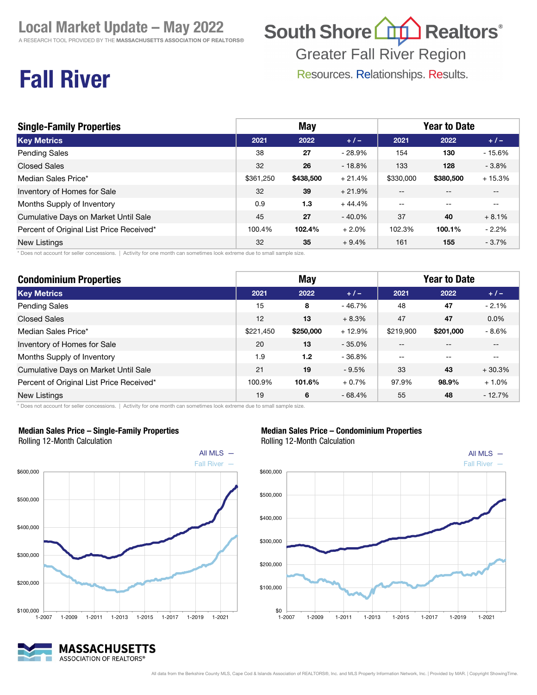A RESEARCH TOOL PROVIDED BY THE MASSACHUSETTS ASSOCIATION OF REALTORS®

## South Shore (1) Realtors<sup>®</sup>

**Greater Fall River Region** 

Resources. Relationships. Results.

## Fall River

| <b>Single-Family Properties</b>          | <b>May</b> |           |           | <b>Year to Date</b> |           |          |
|------------------------------------------|------------|-----------|-----------|---------------------|-----------|----------|
| <b>Key Metrics</b>                       | 2021       | 2022      | $+1-$     | 2021                | 2022      | $+/-$    |
| <b>Pending Sales</b>                     | 38         | 27        | $-28.9%$  | 154                 | 130       | $-15.6%$ |
| <b>Closed Sales</b>                      | 32         | 26        | $-18.8%$  | 133                 | 128       | $-3.8%$  |
| Median Sales Price*                      | \$361.250  | \$438,500 | $+21.4%$  | \$330,000           | \$380,500 | $+15.3%$ |
| Inventory of Homes for Sale              | 32         | 39        | $+21.9%$  | --                  |           |          |
| Months Supply of Inventory               | 0.9        | 1.3       | $+44.4%$  | $\qquad \qquad -$   | $- -$     | $- -$    |
| Cumulative Days on Market Until Sale     | 45         | 27        | $-40.0\%$ | 37                  | 40        | $+8.1%$  |
| Percent of Original List Price Received* | 100.4%     | 102.4%    | $+2.0%$   | 102.3%              | 100.1%    | $-2.2%$  |
| New Listings                             | 32         | 35        | $+9.4%$   | 161                 | 155       | $-3.7%$  |

\* Does not account for seller concessions. | Activity for one month can sometimes look extreme due to small sample size.

| <b>Condominium Properties</b>            | <b>May</b> |                  |          | <b>Year to Date</b> |           |          |
|------------------------------------------|------------|------------------|----------|---------------------|-----------|----------|
| <b>Key Metrics</b>                       | 2021       | 2022             | $+1-$    | 2021                | 2022      | $+/-$    |
| <b>Pending Sales</b>                     | 15         | 8                | - 46.7%  | 48                  | 47        | $-2.1%$  |
| <b>Closed Sales</b>                      | 12         | 13               | $+8.3%$  | 47                  | 47        | $0.0\%$  |
| Median Sales Price*                      | \$221.450  | \$250,000        | $+12.9%$ | \$219,900           | \$201.000 | $-8.6%$  |
| Inventory of Homes for Sale              | 20         | 13               | $-35.0%$ | --                  |           | $- -$    |
| Months Supply of Inventory               | 1.9        | 1.2 <sub>2</sub> | $-36.8%$ | $- -$               | --        |          |
| Cumulative Days on Market Until Sale     | 21         | 19               | $-9.5%$  | 33                  | 43        | $+30.3%$ |
| Percent of Original List Price Received* | 100.9%     | 101.6%           | $+0.7%$  | 97.9%               | 98.9%     | $+1.0%$  |
| <b>New Listings</b>                      | 19         | 6                | $-68.4%$ | 55                  | 48        | $-12.7%$ |

\* Does not account for seller concessions. | Activity for one month can sometimes look extreme due to small sample size.



#### Median Sales Price – Single-Family Properties Rolling 12-Month Calculation

Median Sales Price – Condominium Properties Rolling 12-Month Calculation



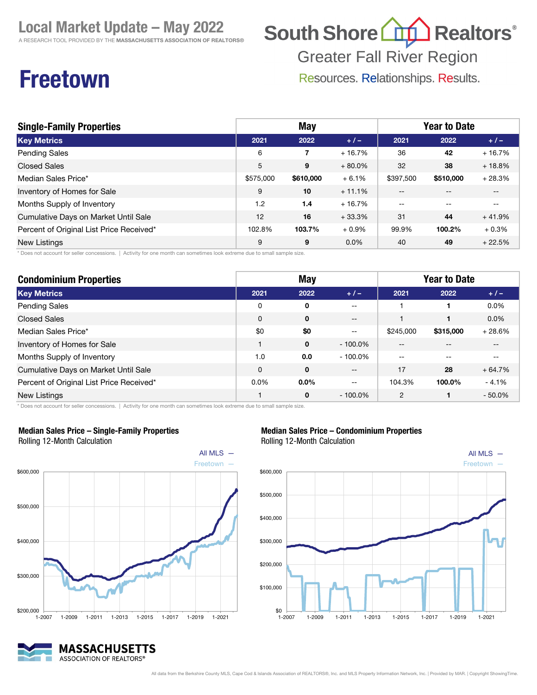A RESEARCH TOOL PROVIDED BY THE MASSACHUSETTS ASSOCIATION OF REALTORS®

## South Shore (11) Realtors<sup>®</sup>

**Greater Fall River Region** 

Resources. Relationships. Results.

### Freetown

| <b>Single-Family Properties</b>          | <b>May</b> |           |          | <b>Year to Date</b> |           |          |  |
|------------------------------------------|------------|-----------|----------|---------------------|-----------|----------|--|
| <b>Key Metrics</b>                       | 2021       | 2022      | $+/-$    | 2021                | 2022      | $+/-$    |  |
| <b>Pending Sales</b>                     | 6          | 7         | $+16.7%$ | 36                  | 42        | $+16.7%$ |  |
| <b>Closed Sales</b>                      | 5          | 9         | $+80.0%$ | 32                  | 38        | $+18.8%$ |  |
| Median Sales Price*                      | \$575,000  | \$610,000 | $+6.1%$  | \$397,500           | \$510,000 | $+28.3%$ |  |
| Inventory of Homes for Sale              | 9          | 10        | $+11.1%$ | $- -$               |           | $- -$    |  |
| Months Supply of Inventory               | 1.2        | 1.4       | $+16.7%$ | $- -$               |           | --       |  |
| Cumulative Days on Market Until Sale     | 12         | 16        | $+33.3%$ | 31                  | 44        | $+41.9%$ |  |
| Percent of Original List Price Received* | 102.8%     | 103.7%    | $+0.9%$  | 99.9%               | 100.2%    | $+0.3%$  |  |
| <b>New Listings</b>                      | 9          | 9         | 0.0%     | 40                  | 49        | $+22.5%$ |  |

\* Does not account for seller concessions. | Activity for one month can sometimes look extreme due to small sample size.

| <b>Condominium Properties</b>            | <b>May</b> |              |                   | <b>Year to Date</b> |           |           |
|------------------------------------------|------------|--------------|-------------------|---------------------|-----------|-----------|
| <b>Key Metrics</b>                       | 2021       | 2022         | $+1-$             | 2021                | 2022      | $+/-$     |
| <b>Pending Sales</b>                     | 0          | 0            | $- -$             |                     |           | 0.0%      |
| <b>Closed Sales</b>                      | $\Omega$   | $\mathbf{0}$ | $\qquad \qquad -$ |                     |           | $0.0\%$   |
| Median Sales Price*                      | \$0        | \$0          | $--$              | \$245,000           | \$315,000 | $+28.6%$  |
| Inventory of Homes for Sale              |            | $\mathbf{0}$ | $-100.0\%$        | --                  |           | --        |
| Months Supply of Inventory               | 1.0        | 0.0          | $-100.0\%$        | $- -$               |           | --        |
| Cumulative Days on Market Until Sale     | $\Omega$   | $\mathbf{0}$ | $\qquad \qquad -$ | 17                  | 28        | $+64.7%$  |
| Percent of Original List Price Received* | $0.0\%$    | $0.0\%$      | $- -$             | 104.3%              | 100.0%    | $-4.1%$   |
| New Listings                             |            | $\mathbf 0$  | $-100.0\%$        | 2                   |           | $-50.0\%$ |

\* Does not account for seller concessions. | Activity for one month can sometimes look extreme due to small sample size.



Median Sales Price – Single-Family Properties Rolling 12-Month Calculation





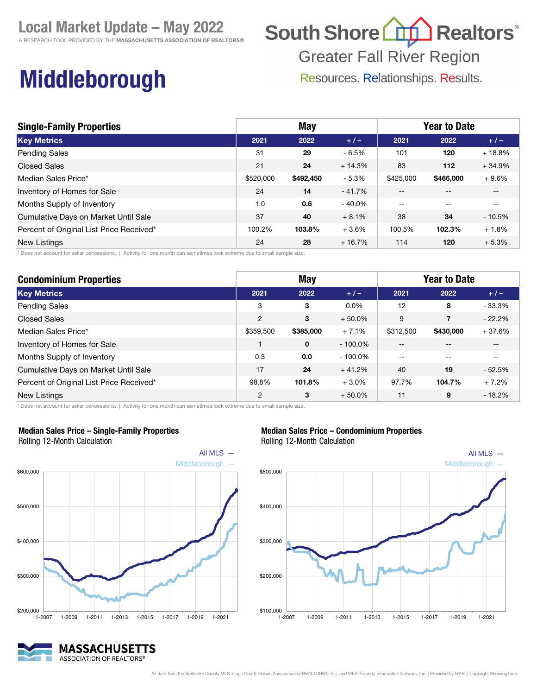A RESEARCH TOOL PROVIDED BY THE MASSACHUSETTS ASSOCIATION OF REALTORS®

# South Shore (11) Realtors<sup>®</sup>

**Greater Fall River Region** 

Resources. Relationships. Results.

## Middleborough

| <b>Single-Family Properties</b>          | <b>May</b> |           |          | <b>Year to Date</b> |           |          |  |
|------------------------------------------|------------|-----------|----------|---------------------|-----------|----------|--|
| <b>Key Metrics</b>                       | 2021       | 2022      | $+1-$    | 2021                | 2022      | $+1-$    |  |
| <b>Pending Sales</b>                     | 31         | 29        | $-6.5%$  | 101                 | 120       | $+18.8%$ |  |
| <b>Closed Sales</b>                      | 21         | 24        | $+14.3%$ | 83                  | 112       | $+34.9%$ |  |
| Median Sales Price*                      | \$520,000  | \$492,450 | $-5.3%$  | \$425,000           | \$466,000 | $+9.6%$  |  |
| Inventory of Homes for Sale              | 24         | 14        | $-41.7%$ | $- -$               | $- -$     | $- -$    |  |
| Months Supply of Inventory               | 1.0        | 0.6       | $-40.0%$ | $- -$               | --        | $- -$    |  |
| Cumulative Days on Market Until Sale     | 37         | 40        | $+8.1%$  | 38                  | 34        | $-10.5%$ |  |
| Percent of Original List Price Received* | 100.2%     | 103.8%    | $+3.6%$  | 100.5%              | 102.3%    | $+1.8%$  |  |
| New Listings                             | 24         | 28        | $+16.7%$ | 114                 | 120       | $+5.3%$  |  |

\* Does not account for seller concessions. | Activity for one month can sometimes look extreme due to small sample size.

| <b>Condominium Properties</b>            | <b>May</b>     |           |            | <b>Year to Date</b> |                |          |  |
|------------------------------------------|----------------|-----------|------------|---------------------|----------------|----------|--|
| <b>Key Metrics</b>                       | 2021           | 2022      | $+/-$      | 2021                | 2022           | $+1-$    |  |
| <b>Pending Sales</b>                     | 3              | 3         | $0.0\%$    | 12                  | 8              | $-33.3%$ |  |
| <b>Closed Sales</b>                      | $\overline{2}$ | 3         | $+50.0\%$  | 9                   | $\overline{7}$ | $-22.2%$ |  |
| Median Sales Price*                      | \$359,500      | \$385,000 | $+7.1%$    | \$312,500           | \$430,000      | $+37.6%$ |  |
| Inventory of Homes for Sale              |                | 0         | $-100.0\%$ | --                  |                | --       |  |
| Months Supply of Inventory               | 0.3            | 0.0       | $-100.0\%$ | $-$                 |                | --       |  |
| Cumulative Days on Market Until Sale     | 17             | 24        | $+41.2%$   | 40                  | 19             | $-52.5%$ |  |
| Percent of Original List Price Received* | 98.8%          | 101.8%    | $+3.0%$    | 97.7%               | 104.7%         | $+7.2%$  |  |
| New Listings                             | 2              | 3         | $+50.0%$   | 11                  | 9              | $-18.2%$ |  |

\* Does not account for seller concessions. | Activity for one month can sometimes look extreme due to small sample size.



#### Median Sales Price – Single-Family Properties

Rolling 12-Month Calculation

#### MASSACHUSETTS ASSOCIATION OF REALTORS®



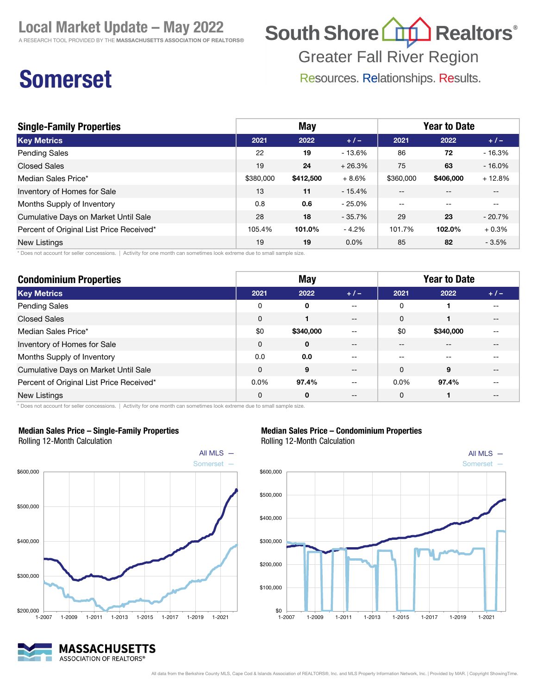A RESEARCH TOOL PROVIDED BY THE MASSACHUSETTS ASSOCIATION OF REALTORS®

## South Shore (1) Realtors<sup>®</sup>

**Greater Fall River Region** 

Resources. Relationships. Results.

## Somerset

| <b>Single-Family Properties</b>          | <b>May</b> |           |           | <b>Year to Date</b> |           |           |
|------------------------------------------|------------|-----------|-----------|---------------------|-----------|-----------|
| <b>Key Metrics</b>                       | 2021       | 2022      | $+1-$     | 2021                | 2022      | $+/-$     |
| <b>Pending Sales</b>                     | 22         | 19        | - 13.6%   | 86                  | 72        | $-16.3%$  |
| <b>Closed Sales</b>                      | 19         | 24        | $+26.3%$  | 75                  | 63        | $-16.0\%$ |
| Median Sales Price*                      | \$380,000  | \$412,500 | $+8.6%$   | \$360,000           | \$406,000 | $+12.8%$  |
| Inventory of Homes for Sale              | 13         | 11        | $-15.4%$  |                     |           | --        |
| Months Supply of Inventory               | 0.8        | 0.6       | $-25.0\%$ | $\qquad \qquad -$   | --        | --        |
| Cumulative Days on Market Until Sale     | 28         | 18        | $-35.7%$  | 29                  | 23        | $-20.7%$  |
| Percent of Original List Price Received* | 105.4%     | 101.0%    | $-4.2%$   | 101.7%              | 102.0%    | $+0.3%$   |
| <b>New Listings</b>                      | 19         | 19        | $0.0\%$   | 85                  | 82        | $-3.5%$   |

\* Does not account for seller concessions. | Activity for one month can sometimes look extreme due to small sample size.

| <b>Condominium Properties</b>            |          | <b>May</b>   |       | <b>Year to Date</b> |           |       |  |
|------------------------------------------|----------|--------------|-------|---------------------|-----------|-------|--|
| <b>Key Metrics</b>                       | 2021     | 2022         | $+1-$ | 2021                | 2022      | $+/-$ |  |
| Pending Sales                            | 0        | $\mathbf{0}$ | --    | 0                   |           |       |  |
| <b>Closed Sales</b>                      | $\Omega$ |              | $- -$ | $\Omega$            |           | --    |  |
| Median Sales Price*                      | \$0      | \$340,000    | $- -$ | \$0                 | \$340,000 | --    |  |
| Inventory of Homes for Sale              | $\Omega$ | $\mathbf{0}$ | --    | --                  |           |       |  |
| Months Supply of Inventory               | 0.0      | 0.0          | --    |                     |           |       |  |
| Cumulative Days on Market Until Sale     | $\Omega$ | 9            | --    | $\Omega$            | 9         | --    |  |
| Percent of Original List Price Received* | $0.0\%$  | 97.4%        | $- -$ | $0.0\%$             | 97.4%     | --    |  |
| New Listings                             | $\Omega$ | $\mathbf{0}$ | --    | $\Omega$            |           |       |  |

\* Does not account for seller concessions. | Activity for one month can sometimes look extreme due to small sample size.



#### Median Sales Price – Single-Family Properties Rolling 12-Month Calculation

### Rolling 12-Month Calculation

Median Sales Price – Condominium Properties



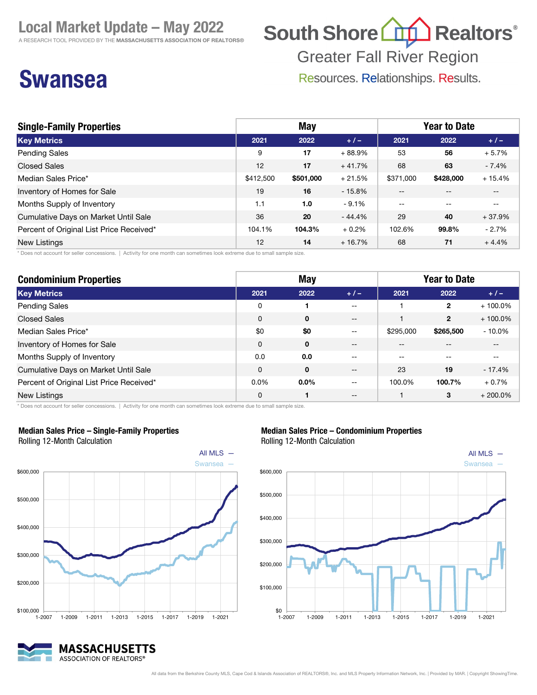A RESEARCH TOOL PROVIDED BY THE MASSACHUSETTS ASSOCIATION OF REALTORS®

## South Shore (1) Realtors<sup>®</sup>

**Greater Fall River Region** 

Resources. Relationships. Results.

### Swansea

| <b>Single-Family Properties</b>          | <b>May</b> |           |          | <b>Year to Date</b> |           |          |
|------------------------------------------|------------|-----------|----------|---------------------|-----------|----------|
| <b>Key Metrics</b>                       | 2021       | 2022      | $+/-$    | 2021                | 2022      | $+/-$    |
| <b>Pending Sales</b>                     | 9          | 17        | $+88.9%$ | 53                  | 56        | $+5.7%$  |
| <b>Closed Sales</b>                      | 12         | 17        | $+41.7%$ | 68                  | 63        | $-7.4%$  |
| Median Sales Price*                      | \$412,500  | \$501,000 | $+21.5%$ | \$371,000           | \$428,000 | $+15.4%$ |
| Inventory of Homes for Sale              | 19         | 16        | $-15.8%$ | --                  |           | --       |
| Months Supply of Inventory               | 1.1        | 1.0       | $-9.1%$  | --                  | --        | $- -$    |
| Cumulative Days on Market Until Sale     | 36         | 20        | $-44.4%$ | 29                  | 40        | $+37.9%$ |
| Percent of Original List Price Received* | 104.1%     | 104.3%    | $+0.2%$  | 102.6%              | 99.8%     | $-2.7%$  |
| <b>New Listings</b>                      | 12         | 14        | $+16.7%$ | 68                  | 71        | $+4.4%$  |

\* Does not account for seller concessions. | Activity for one month can sometimes look extreme due to small sample size.

| <b>Condominium Properties</b>            | <b>May</b> |              |       | <b>Year to Date</b> |              |            |
|------------------------------------------|------------|--------------|-------|---------------------|--------------|------------|
| <b>Key Metrics</b>                       | 2021       | 2022         | $+1-$ | 2021                | 2022         | $+/-$      |
| <b>Pending Sales</b>                     | 0          |              | $- -$ |                     | $\mathbf{2}$ | $+100.0\%$ |
| <b>Closed Sales</b>                      | $\Omega$   | $\mathbf{0}$ | $- -$ |                     | $\mathbf{2}$ | $+100.0\%$ |
| Median Sales Price*                      | \$0        | \$0          | $- -$ | \$295,000           | \$265,500    | $-10.0%$   |
| Inventory of Homes for Sale              | 0          | 0            | --    | --                  |              | --         |
| Months Supply of Inventory               | 0.0        | 0.0          | $- -$ | --                  |              | $- -$      |
| Cumulative Days on Market Until Sale     | 0          | 0            | $- -$ | 23                  | 19           | $-17.4%$   |
| Percent of Original List Price Received* | $0.0\%$    | $0.0\%$      | --    | 100.0%              | 100.7%       | $+0.7%$    |
| New Listings                             | $\Omega$   |              | $- -$ |                     | 3            | $+200.0\%$ |

\* Does not account for seller concessions. | Activity for one month can sometimes look extreme due to small sample size.



#### Median Sales Price – Single-Family Properties Rolling 12-Month Calculation

#### Median Sales Price – Condominium Properties Rolling 12-Month Calculation